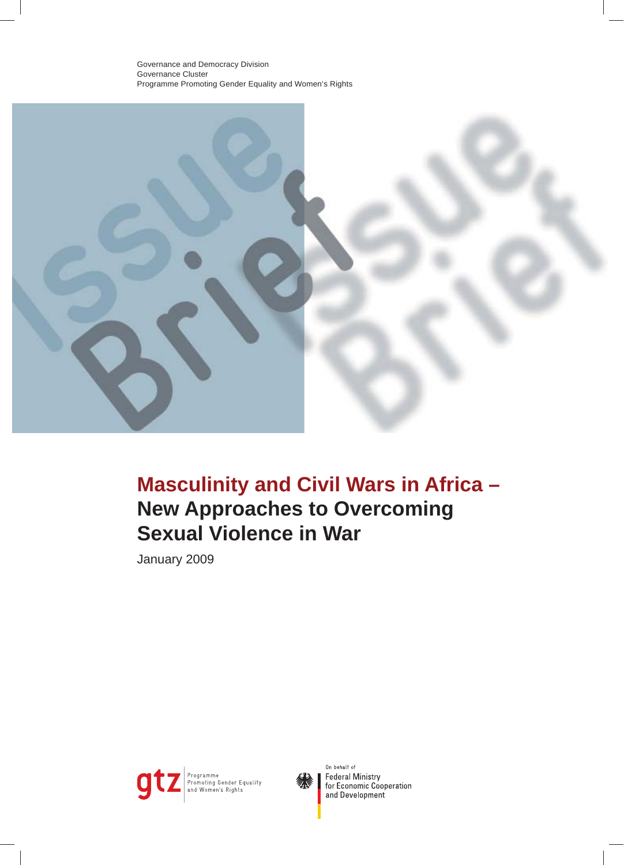

# **Masculinity and Civil Wars in Africa – New Approaches to Overcoming Sexual Violence in War**

January 2009





On behalf of **Federal Ministry** for Economic Cooperation and Development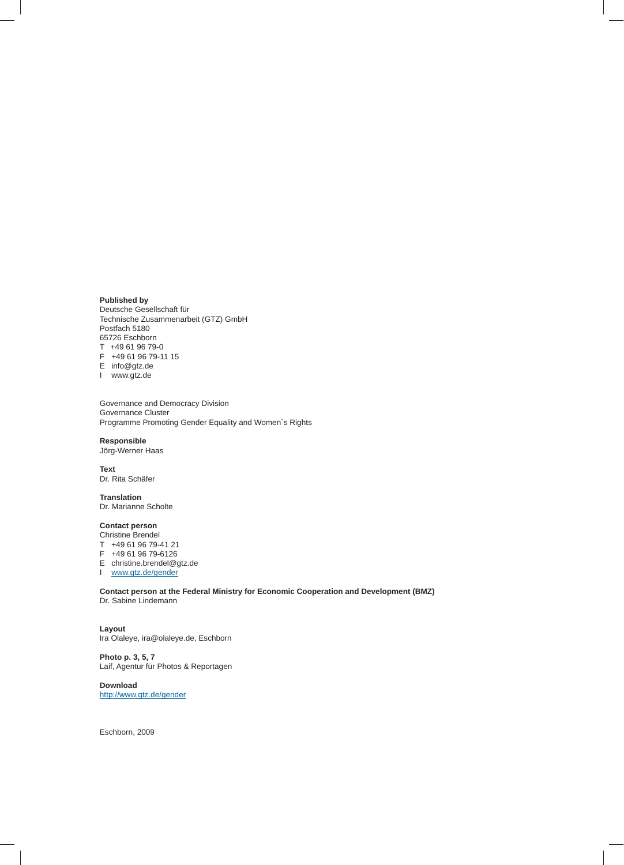### **Published by**

Deutsche Gesellschaft für Technische Zusammenarbeit (GTZ) GmbH Postfach 5180 65726 Eschborn T +49 61 96 79-0 F +49 61 96 79-11 15 E info@gtz.de

I www.gtz.de

Governance and Democracy Division Governance Cluster Programme Promoting Gender Equality and Women`s Rights

**Responsible** Jörg-Werner Haas

**Text**

Dr. Rita Schäfer

**Translation** Dr. Marianne Scholte

#### **Contact person**

Christine Brendel

- T +49 61 96 79-41 21
- F +49 61 96 79-6126
- E christine.brendel@gtz.de
- I www.gtz.de/gender

**Contact person at the Federal Ministry for Economic Cooperation and Development (BMZ)** Dr. Sabine Lindemann

**Layout** Ira Olaleye, ira@olaleye.de, Eschborn

**Photo p. 3, 5, 7** Laif, Agentur für Photos & Reportagen

**Download** http://www.gtz.de/gender

Eschborn, 2009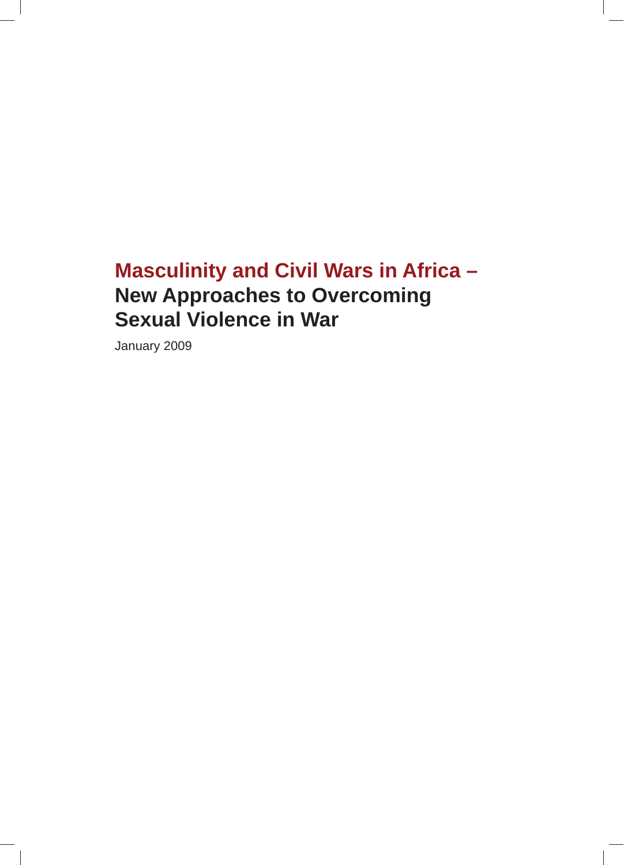# **Masculinity and Civil Wars in Africa – New Approaches to Overcoming Sexual Violence in War**

January 2009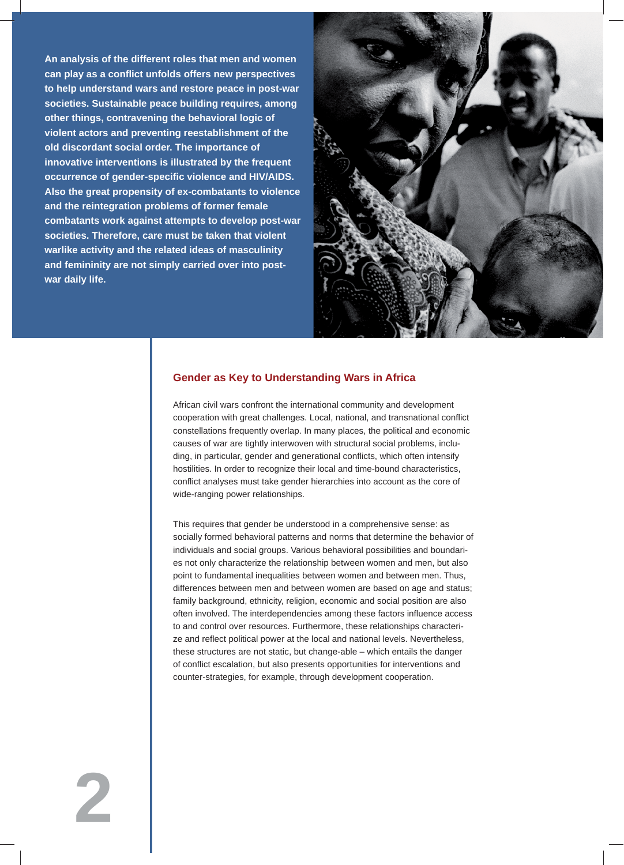**An analysis of the different roles that men and women**  $\blacksquare$ **can play as a confl ict unfolds offers new perspectives to help understand wars and restore peace in post-war societies. Sustainable peace building requires, among other things, contravening the behavioral logic of violent actors and preventing reestablishment of the old discordant social order. The importance of innovative interventions is illustrated by the frequent occurrence of gender-specifi c violence and HIV/AIDS. Also the great propensity of ex-combatants to violence and the reintegration problems of former female combatants work against attempts to develop post-war societies. Therefore, care must be taken that violent warlike activity and the related ideas of masculinity and femininity are not simply carried over into postwar daily life.** 



# **Gender as Key to Understanding Wars in Africa**

African civil wars confront the international community and development cooperation with great challenges. Local, national, and transnational conflict constellations frequently overlap. In many places, the political and economic causes of war are tightly interwoven with structural social problems, including, in particular, gender and generational conflicts, which often intensify hostilities. In order to recognize their local and time-bound characteristics, conflict analyses must take gender hierarchies into account as the core of wide-ranging power relationships.

This requires that gender be understood in a comprehensive sense: as socially formed behavioral patterns and norms that determine the behavior of individuals and social groups. Various behavioral possibilities and boundaries not only characterize the relationship between women and men, but also point to fundamental inequalities between women and between men. Thus, differences between men and between women are based on age and status; family background, ethnicity, religion, economic and social position are also often involved. The interdependencies among these factors influence access to and control over resources. Furthermore, these relationships characterize and reflect political power at the local and national levels. Nevertheless, these structures are not static, but change-able – which entails the danger of conflict escalation, but also presents opportunities for interventions and counter-strategies, for example, through development cooperation.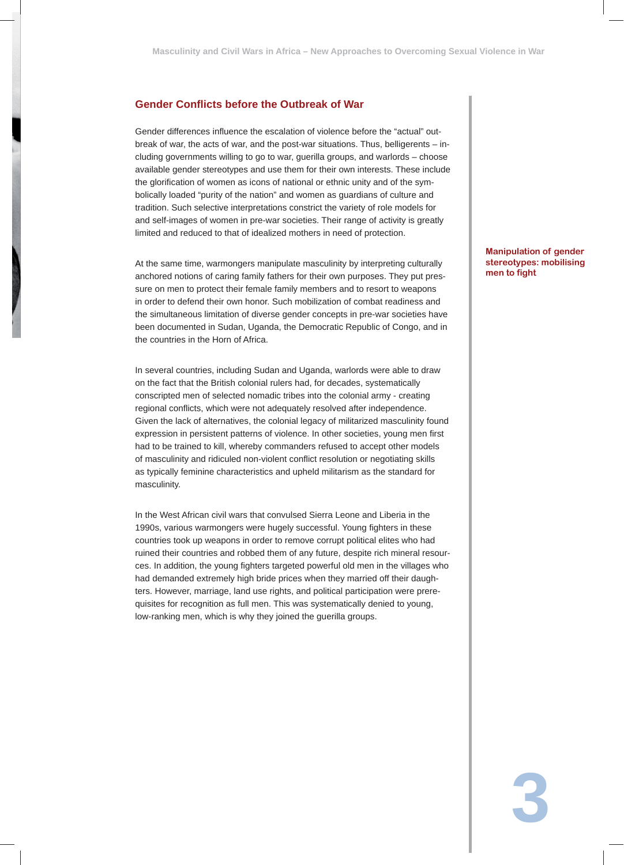# **Gender Confl icts before the Outbreak of War**

Gender differences influence the escalation of violence before the "actual" outbreak of war, the acts of war, and the post-war situations. Thus, belligerents – including governments willing to go to war, guerilla groups, and warlords – choose available gender stereotypes and use them for their own interests. These include the glorification of women as icons of national or ethnic unity and of the symbolically loaded "purity of the nation" and women as guardians of culture and tradition. Such selective interpretations constrict the variety of role models for and self-images of women in pre-war societies. Their range of activity is greatly limited and reduced to that of idealized mothers in need of protection.

At the same time, warmongers manipulate masculinity by interpreting culturally anchored notions of caring family fathers for their own purposes. They put pressure on men to protect their female family members and to resort to weapons in order to defend their own honor. Such mobilization of combat readiness and the simultaneous limitation of diverse gender concepts in pre-war societies have been documented in Sudan, Uganda, the Democratic Republic of Congo, and in the countries in the Horn of Africa.

In several countries, including Sudan and Uganda, warlords were able to draw on the fact that the British colonial rulers had, for decades, systematically conscripted men of selected nomadic tribes into the colonial army - creating regional conflicts, which were not adequately resolved after independence. Given the lack of alternatives, the colonial legacy of militarized masculinity found expression in persistent patterns of violence. In other societies, young men first had to be trained to kill, whereby commanders refused to accept other models of masculinity and ridiculed non-violent conflict resolution or negotiating skills as typically feminine characteristics and upheld militarism as the standard for masculinity.

In the West African civil wars that convulsed Sierra Leone and Liberia in the 1990s, various warmongers were hugely successful. Young fighters in these countries took up weapons in order to remove corrupt political elites who had ruined their countries and robbed them of any future, despite rich mineral resources. In addition, the young fighters targeted powerful old men in the villages who had demanded extremely high bride prices when they married off their daughters. However, marriage, land use rights, and political participation were prerequisites for recognition as full men. This was systematically denied to young, low-ranking men, which is why they joined the guerilla groups.

**Manipulation of gender stereotypes: mobilising men to fight**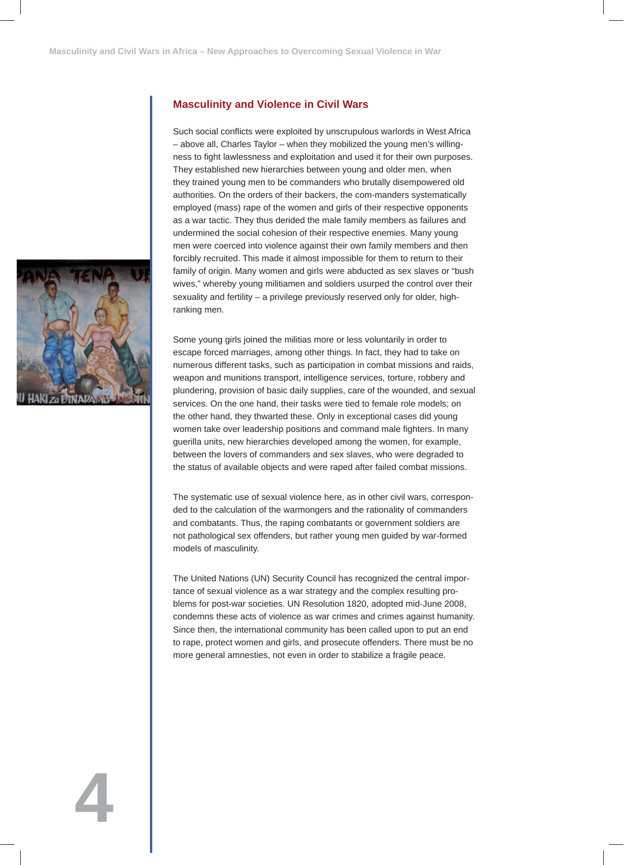## **Masculinity and Violence in Civil Wars**

Such social conflicts were exploited by unscrupulous warlords in West Africa – above all, Charles Taylor – when they mobilized the young men's willingness to fight lawlessness and exploitation and used it for their own purposes. They established new hierarchies between young and older men, when they trained young men to be commanders who brutally disempowered old authorities. On the orders of their backers, the com-manders systematically employed (mass) rape of the women and girls of their respective opponents as a war tactic. They thus derided the male family members as failures and undermined the social cohesion of their respective enemies. Many young men were coerced into violence against their own family members and then forcibly recruited. This made it almost impossible for them to return to their family of origin. Many women and girls were abducted as sex slaves or "bush wives," whereby young militiamen and soldiers usurped the control over their sexuality and fertility – a privilege previously reserved only for older, highranking men.

Some young girls joined the militias more or less voluntarily in order to escape forced marriages, among other things. In fact, they had to take on numerous different tasks, such as participation in combat missions and raids, weapon and munitions transport, intelligence services, torture, robbery and plundering, provision of basic daily supplies, care of the wounded, and sexual services. On the one hand, their tasks were tied to female role models; on the other hand, they thwarted these. Only in exceptional cases did young women take over leadership positions and command male fighters. In many guerilla units, new hierarchies developed among the women, for example, between the lovers of commanders and sex slaves, who were degraded to the status of available objects and were raped after failed combat missions.

The systematic use of sexual violence here, as in other civil wars, corresponded to the calculation of the warmongers and the rationality of commanders and combatants. Thus, the raping combatants or government soldiers are not pathological sex offenders, but rather young men guided by war-formed models of masculinity.

The United Nations (UN) Security Council has recognized the central importance of sexual violence as a war strategy and the complex resulting problems for post-war societies. UN Resolution 1820, adopted mid-June 2008, condemns these acts of violence as war crimes and crimes against humanity. Since then, the international community has been called upon to put an end to rape, protect women and girls, and prosecute offenders. There must be no more general amnesties, not even in order to stabilize a fragile peace.

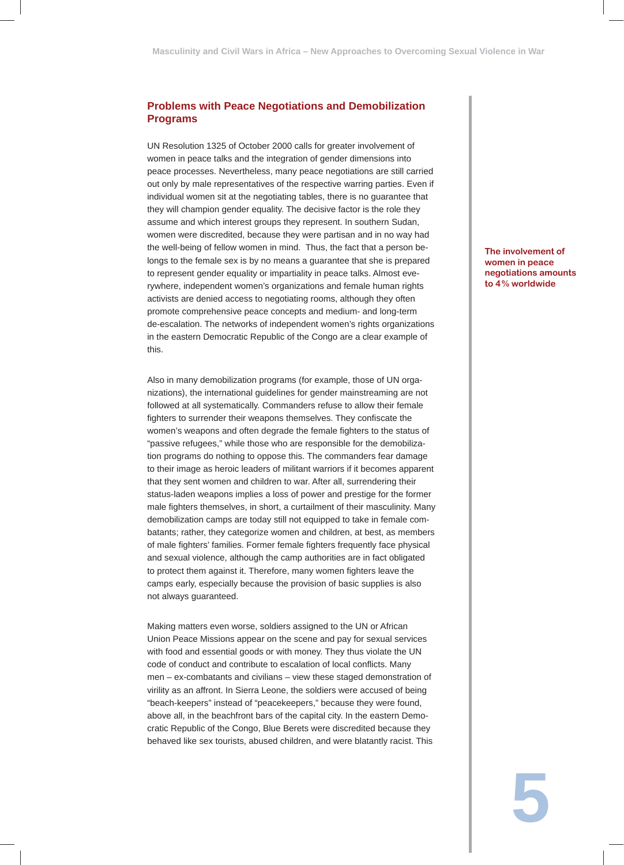# **Problems with Peace Negotiations and Demobilization Programs**

UN Resolution 1325 of October 2000 calls for greater involvement of women in peace talks and the integration of gender dimensions into peace processes. Nevertheless, many peace negotiations are still carried out only by male representatives of the respective warring parties. Even if individual women sit at the negotiating tables, there is no guarantee that they will champion gender equality. The decisive factor is the role they assume and which interest groups they represent. In southern Sudan, women were discredited, because they were partisan and in no way had the well-being of fellow women in mind. Thus, the fact that a person belongs to the female sex is by no means a guarantee that she is prepared to represent gender equality or impartiality in peace talks. Almost everywhere, independent women's organizations and female human rights activists are denied access to negotiating rooms, although they often promote comprehensive peace concepts and medium- and long-term de-escalation. The networks of independent women's rights organizations in the eastern Democratic Republic of the Congo are a clear example of this.

Also in many demobilization programs (for example, those of UN organizations), the international guidelines for gender mainstreaming are not followed at all systematically. Commanders refuse to allow their female fighters to surrender their weapons themselves. They confiscate the women's weapons and often degrade the female fighters to the status of "passive refugees," while those who are responsible for the demobilization programs do nothing to oppose this. The commanders fear damage to their image as heroic leaders of militant warriors if it becomes apparent that they sent women and children to war. After all, surrendering their status-laden weapons implies a loss of power and prestige for the former male fighters themselves, in short, a curtailment of their masculinity. Many demobilization camps are today still not equipped to take in female combatants; rather, they categorize women and children, at best, as members of male fighters' families. Former female fighters frequently face physical and sexual violence, although the camp authorities are in fact obligated to protect them against it. Therefore, many women fighters leave the camps early, especially because the provision of basic supplies is also not always guaranteed.

Making matters even worse, soldiers assigned to the UN or African Union Peace Missions appear on the scene and pay for sexual services with food and essential goods or with money. They thus violate the UN code of conduct and contribute to escalation of local conflicts. Many men – ex-combatants and civilians – view these staged demonstration of virility as an affront. In Sierra Leone, the soldiers were accused of being "beach-keepers" instead of "peacekeepers," because they were found, above all, in the beachfront bars of the capital city. In the eastern Democratic Republic of the Congo, Blue Berets were discredited because they behaved like sex tourists, abused children, and were blatantly racist. This

**The involvement of women in peace negotiations amounts to 4 % worldwide**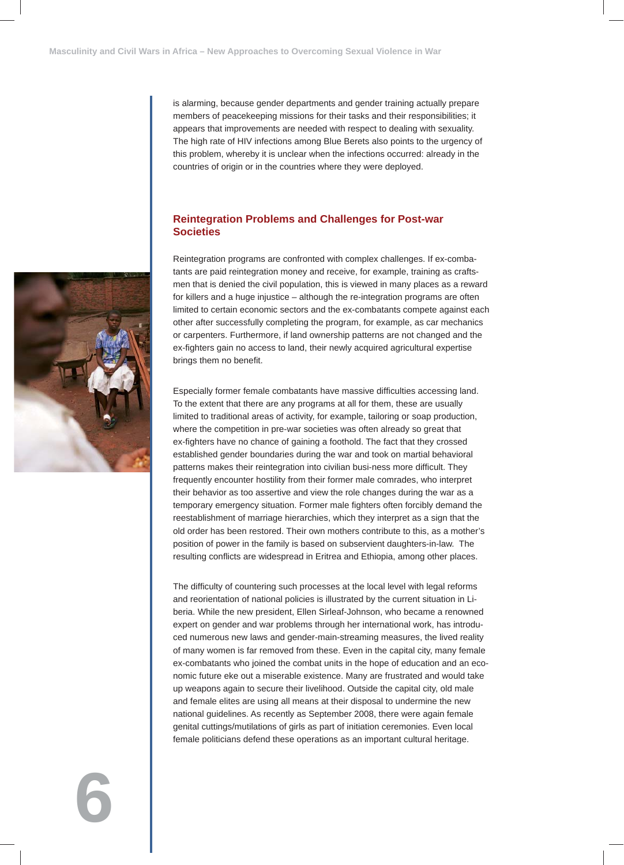is alarming, because gender departments and gender training actually prepare members of peacekeeping missions for their tasks and their responsibilities; it appears that improvements are needed with respect to dealing with sexuality. The high rate of HIV infections among Blue Berets also points to the urgency of this problem, whereby it is unclear when the infections occurred: already in the countries of origin or in the countries where they were deployed.

### **Reintegration Problems and Challenges for Post-war Societies**

Reintegration programs are confronted with complex challenges. If ex-combatants are paid reintegration money and receive, for example, training as craftsmen that is denied the civil population, this is viewed in many places as a reward for killers and a huge injustice – although the re-integration programs are often limited to certain economic sectors and the ex-combatants compete against each other after successfully completing the program, for example, as car mechanics or carpenters. Furthermore, if land ownership patterns are not changed and the ex-fighters gain no access to land, their newly acquired agricultural expertise brings them no benefit.

Especially former female combatants have massive difficulties accessing land. To the extent that there are any programs at all for them, these are usually limited to traditional areas of activity, for example, tailoring or soap production, where the competition in pre-war societies was often already so great that ex-fighters have no chance of gaining a foothold. The fact that they crossed established gender boundaries during the war and took on martial behavioral patterns makes their reintegration into civilian busi-ness more difficult. They frequently encounter hostility from their former male comrades, who interpret their behavior as too assertive and view the role changes during the war as a temporary emergency situation. Former male fighters often forcibly demand the reestablishment of marriage hierarchies, which they interpret as a sign that the old order has been restored. Their own mothers contribute to this, as a mother's position of power in the family is based on subservient daughters-in-law. The resulting conflicts are widespread in Eritrea and Ethiopia, among other places.

The difficulty of countering such processes at the local level with legal reforms and reorientation of national policies is illustrated by the current situation in Liberia. While the new president, Ellen Sirleaf-Johnson, who became a renowned expert on gender and war problems through her international work, has introduced numerous new laws and gender-main-streaming measures, the lived reality of many women is far removed from these. Even in the capital city, many female ex-combatants who joined the combat units in the hope of education and an economic future eke out a miserable existence. Many are frustrated and would take up weapons again to secure their livelihood. Outside the capital city, old male and female elites are using all means at their disposal to undermine the new national guidelines. As recently as September 2008, there were again female genital cuttings/mutilations of girls as part of initiation ceremonies. Even local female politicians defend these operations as an important cultural heritage.

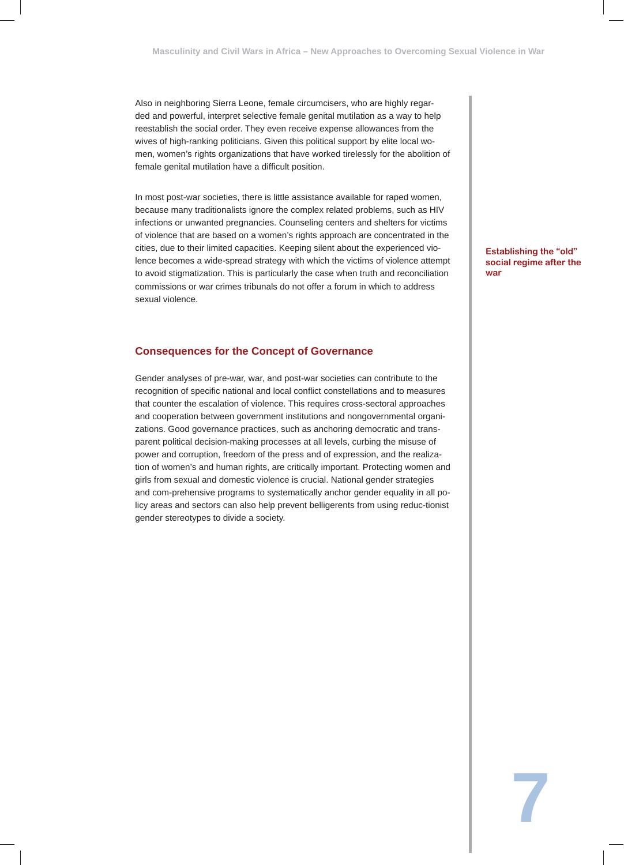Also in neighboring Sierra Leone, female circumcisers, who are highly regarded and powerful, interpret selective female genital mutilation as a way to help reestablish the social order. They even receive expense allowances from the wives of high-ranking politicians. Given this political support by elite local women, women's rights organizations that have worked tirelessly for the abolition of female genital mutilation have a difficult position.

In most post-war societies, there is little assistance available for raped women, because many traditionalists ignore the complex related problems, such as HIV infections or unwanted pregnancies. Counseling centers and shelters for victims of violence that are based on a women's rights approach are concentrated in the cities, due to their limited capacities. Keeping silent about the experienced violence becomes a wide-spread strategy with which the victims of violence attempt to avoid stigmatization. This is particularly the case when truth and reconciliation commissions or war crimes tribunals do not offer a forum in which to address sexual violence.

#### **Consequences for the Concept of Governance**

Gender analyses of pre-war, war, and post-war societies can contribute to the recognition of specific national and local conflict constellations and to measures that counter the escalation of violence. This requires cross-sectoral approaches and cooperation between government institutions and nongovernmental organizations. Good governance practices, such as anchoring democratic and transparent political decision-making processes at all levels, curbing the misuse of power and corruption, freedom of the press and of expression, and the realization of women's and human rights, are critically important. Protecting women and girls from sexual and domestic violence is crucial. National gender strategies and com-prehensive programs to systematically anchor gender equality in all policy areas and sectors can also help prevent belligerents from using reduc-tionist gender stereotypes to divide a society.

**Establishing the "old" social regime after the war**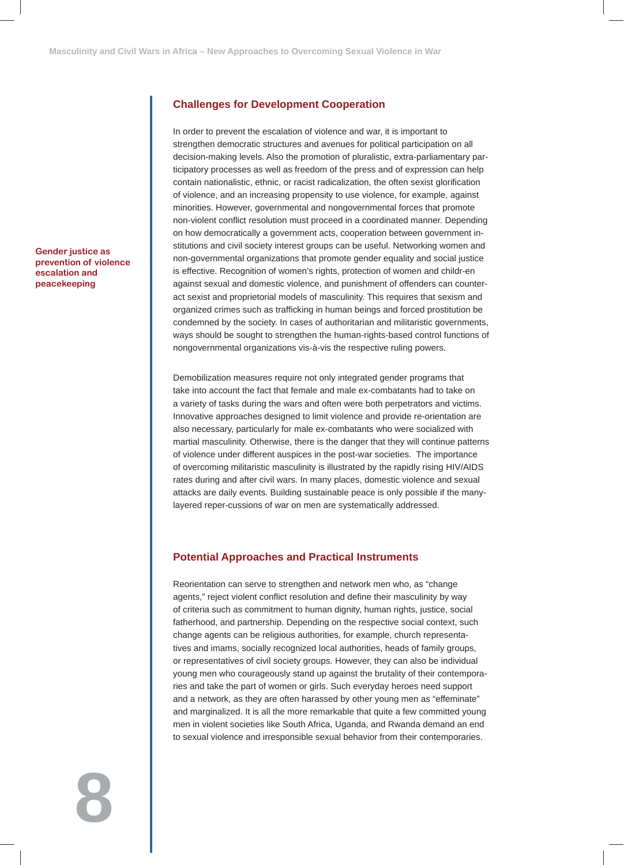**Gender justice as prevention of violence escalation and peacekeeping**

## **Challenges for Development Cooperation**

In order to prevent the escalation of violence and war, it is important to strengthen democratic structures and avenues for political participation on all decision-making levels. Also the promotion of pluralistic, extra-parliamentary participatory processes as well as freedom of the press and of expression can help contain nationalistic, ethnic, or racist radicalization, the often sexist glorification of violence, and an increasing propensity to use violence, for example, against minorities. However, governmental and nongovernmental forces that promote non-violent conflict resolution must proceed in a coordinated manner. Depending on how democratically a government acts, cooperation between government institutions and civil society interest groups can be useful. Networking women and non-governmental organizations that promote gender equality and social justice is effective. Recognition of women's rights, protection of women and childr-en against sexual and domestic violence, and punishment of offenders can counteract sexist and proprietorial models of masculinity. This requires that sexism and organized crimes such as trafficking in human beings and forced prostitution be condemned by the society. In cases of authoritarian and militaristic governments, ways should be sought to strengthen the human-rights-based control functions of nongovernmental organizations vis-à-vis the respective ruling powers.

Demobilization measures require not only integrated gender programs that take into account the fact that female and male ex-combatants had to take on a variety of tasks during the wars and often were both perpetrators and victims. Innovative approaches designed to limit violence and provide re-orientation are also necessary, particularly for male ex-combatants who were socialized with martial masculinity. Otherwise, there is the danger that they will continue patterns of violence under different auspices in the post-war societies. The importance of overcoming militaristic masculinity is illustrated by the rapidly rising HIV/AIDS rates during and after civil wars. In many places, domestic violence and sexual attacks are daily events. Building sustainable peace is only possible if the manylayered reper-cussions of war on men are systematically addressed.

#### **Potential Approaches and Practical Instruments**

Reorientation can serve to strengthen and network men who, as "change agents," reject violent conflict resolution and define their masculinity by way of criteria such as commitment to human dignity, human rights, justice, social fatherhood, and partnership. Depending on the respective social context, such change agents can be religious authorities, for example, church representatives and imams, socially recognized local authorities, heads of family groups, or representatives of civil society groups. However, they can also be individual young men who courageously stand up against the brutality of their contemporaries and take the part of women or girls. Such everyday heroes need support and a network, as they are often harassed by other young men as "effeminate" and marginalized. It is all the more remarkable that quite a few committed young men in violent societies like South Africa, Uganda, and Rwanda demand an end to sexual violence and irresponsible sexual behavior from their contemporaries.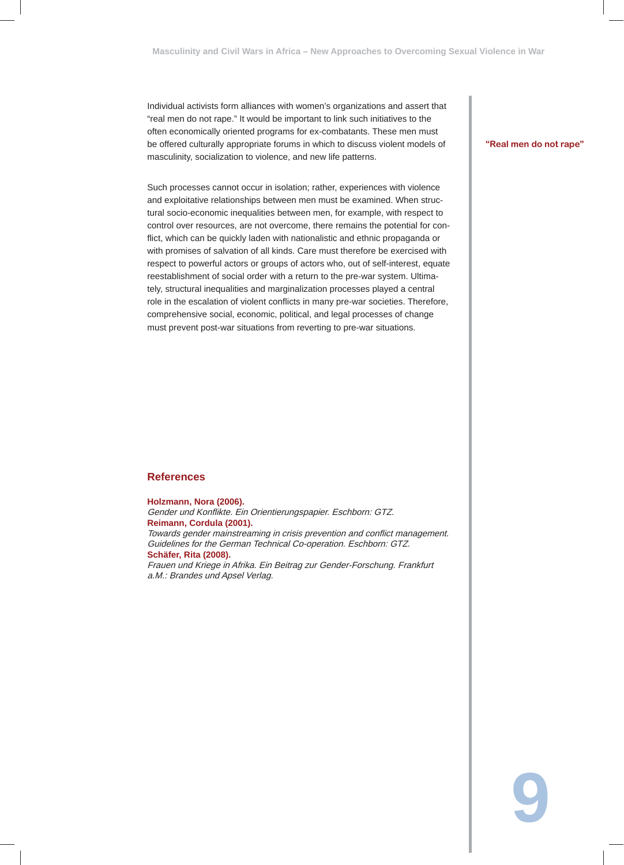Individual activists form alliances with women's organizations and assert that "real men do not rape." It would be important to link such initiatives to the often economically oriented programs for ex-combatants. These men must be offered culturally appropriate forums in which to discuss violent models of masculinity, socialization to violence, and new life patterns.

Such processes cannot occur in isolation; rather, experiences with violence and exploitative relationships between men must be examined. When structural socio-economic inequalities between men, for example, with respect to control over resources, are not overcome, there remains the potential for conflict, which can be quickly laden with nationalistic and ethnic propaganda or with promises of salvation of all kinds. Care must therefore be exercised with respect to powerful actors or groups of actors who, out of self-interest, equate reestablishment of social order with a return to the pre-war system. Ultimately, structural inequalities and marginalization processes played a central role in the escalation of violent conflicts in many pre-war societies. Therefore, comprehensive social, economic, political, and legal processes of change must prevent post-war situations from reverting to pre-war situations.

#### **"Real men do not rape"**

**9**

#### **References**

#### **Holzmann, Nora (2006).**

Gender und Konflikte. Ein Orientierungspapier. Eschborn: GTZ. **Reimann, Cordula (2001).**

Towards gender mainstreaming in crisis prevention and conflict management. Guidelines for the German Technical Co-operation. Eschborn: GTZ. **Schäfer, Rita (2008).**

Frauen und Kriege in Afrika. Ein Beitrag zur Gender-Forschung. Frankfurt a.M.: Brandes und Apsel Verlag.